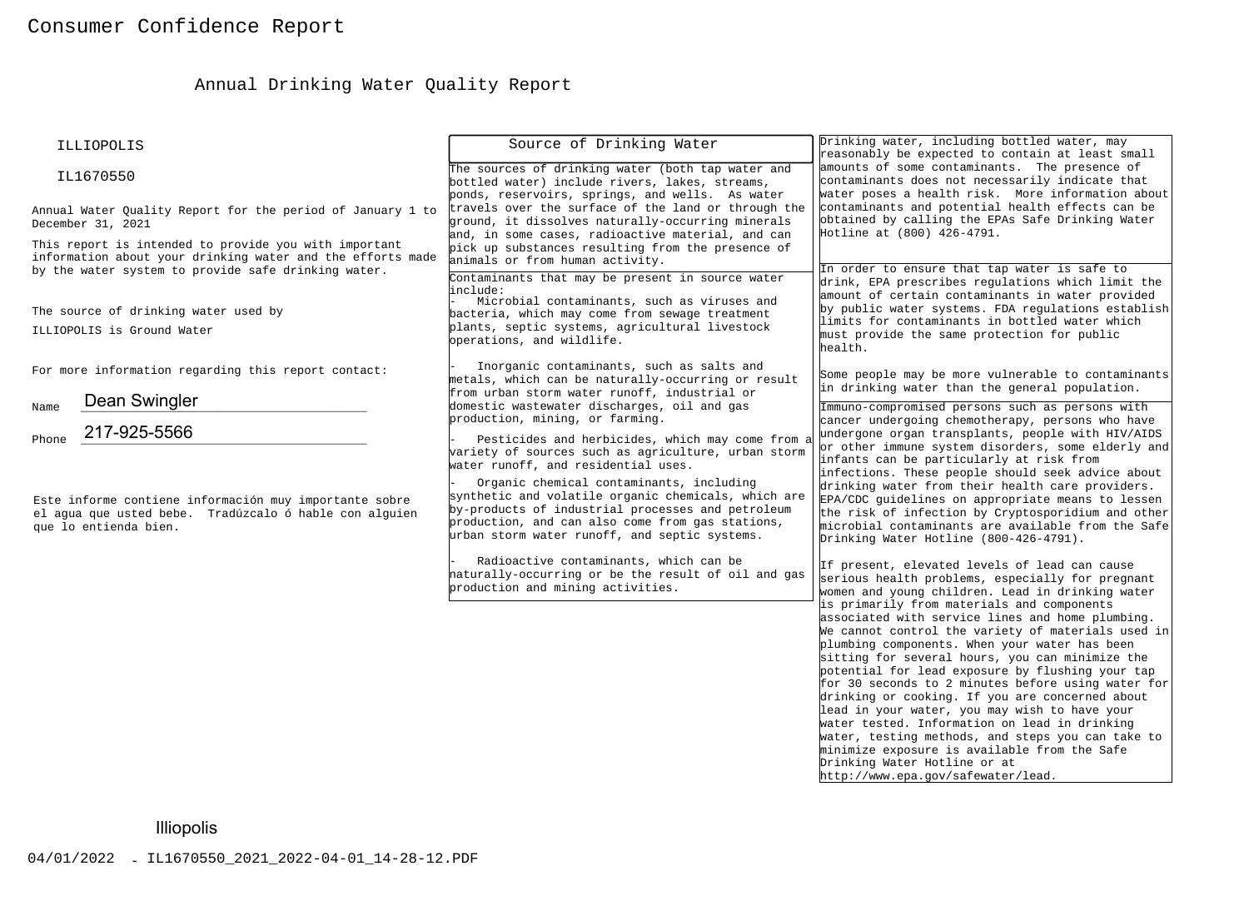# Annual Drinking Water Quality Report

|                                                                                                                                           | ILLIOPOLIS                                                                                                                                                                                                         | Source of Drinking Water                                                                                                                                                                                                                                                                                                                                                                                                                                                                      | Drinking water, including bottled water, may<br>reasonably be expected to contain at least small                                                                                                                                                                                                                                                                                                                                                                                                                                                                                                                                                                                                                                                                                                                                                                                                                                                                                                                                                                                                                                                                                      |  |  |
|-------------------------------------------------------------------------------------------------------------------------------------------|--------------------------------------------------------------------------------------------------------------------------------------------------------------------------------------------------------------------|-----------------------------------------------------------------------------------------------------------------------------------------------------------------------------------------------------------------------------------------------------------------------------------------------------------------------------------------------------------------------------------------------------------------------------------------------------------------------------------------------|---------------------------------------------------------------------------------------------------------------------------------------------------------------------------------------------------------------------------------------------------------------------------------------------------------------------------------------------------------------------------------------------------------------------------------------------------------------------------------------------------------------------------------------------------------------------------------------------------------------------------------------------------------------------------------------------------------------------------------------------------------------------------------------------------------------------------------------------------------------------------------------------------------------------------------------------------------------------------------------------------------------------------------------------------------------------------------------------------------------------------------------------------------------------------------------|--|--|
|                                                                                                                                           | IL1670550                                                                                                                                                                                                          | The sources of drinking water (both tap water and<br>bottled water) include rivers, lakes, streams,<br>ponds, reservoirs, springs, and wells. As water                                                                                                                                                                                                                                                                                                                                        | amounts of some contaminants. The presence of<br>contaminants does not necessarily indicate that<br>water poses a health risk. More information about                                                                                                                                                                                                                                                                                                                                                                                                                                                                                                                                                                                                                                                                                                                                                                                                                                                                                                                                                                                                                                 |  |  |
|                                                                                                                                           | Annual Water Quality Report for the period of January 1 to<br>December 31, 2021                                                                                                                                    | travels over the surface of the land or through the<br>ground, it dissolves naturally-occurring minerals<br>and, in some cases, radioactive material, and can                                                                                                                                                                                                                                                                                                                                 | contaminants and potential health effects can be<br>obtained by calling the EPAs Safe Drinking Water<br>Hotline at (800) 426-4791.                                                                                                                                                                                                                                                                                                                                                                                                                                                                                                                                                                                                                                                                                                                                                                                                                                                                                                                                                                                                                                                    |  |  |
|                                                                                                                                           | This report is intended to provide you with important<br>information about your drinking water and the efforts made<br>by the water system to provide safe drinking water.<br>The source of drinking water used by | pick up substances resulting from the presence of<br>animals or from human activity.<br>Contaminants that may be present in source water<br>linclude:<br>Microbial contaminants, such as viruses and<br>bacteria, which may come from sewage treatment                                                                                                                                                                                                                                        | In order to ensure that tap water is safe to<br>drink, EPA prescribes regulations which limit the<br>amount of certain contaminants in water provided<br>by public water systems. FDA regulations establish                                                                                                                                                                                                                                                                                                                                                                                                                                                                                                                                                                                                                                                                                                                                                                                                                                                                                                                                                                           |  |  |
|                                                                                                                                           | ILLIOPOLIS is Ground Water                                                                                                                                                                                         | plants, septic systems, agricultural livestock<br>operations, and wildlife.                                                                                                                                                                                                                                                                                                                                                                                                                   | limits for contaminants in bottled water which<br>must provide the same protection for public<br>health.                                                                                                                                                                                                                                                                                                                                                                                                                                                                                                                                                                                                                                                                                                                                                                                                                                                                                                                                                                                                                                                                              |  |  |
|                                                                                                                                           | For more information regarding this report contact:<br>Dean Swingler                                                                                                                                               | Inorganic contaminants, such as salts and<br>metals, which can be naturally-occurring or result<br>from urban storm water runoff, industrial or                                                                                                                                                                                                                                                                                                                                               | Some people may be more vulnerable to contaminants<br>in drinking water than the general population.                                                                                                                                                                                                                                                                                                                                                                                                                                                                                                                                                                                                                                                                                                                                                                                                                                                                                                                                                                                                                                                                                  |  |  |
| Name<br>Phone                                                                                                                             | 217-925-5566                                                                                                                                                                                                       | domestic wastewater discharges, oil and gas<br>production, mining, or farming.<br>Pesticides and herbicides, which may come from a                                                                                                                                                                                                                                                                                                                                                            | Immuno-compromised persons such as persons with<br>cancer undergoing chemotherapy, persons who have<br>undergone organ transplants, people with HIV/AIDS<br>or other immune system disorders, some elderly and                                                                                                                                                                                                                                                                                                                                                                                                                                                                                                                                                                                                                                                                                                                                                                                                                                                                                                                                                                        |  |  |
| Este informe contiene información muy importante sobre<br>el aqua que usted bebe. Tradúzcalo ó hable con alquien<br>que lo entienda bien. |                                                                                                                                                                                                                    | variety of sources such as agriculture, urban storm<br>water runoff, and residential uses.<br>Organic chemical contaminants, including<br>synthetic and volatile organic chemicals, which are<br>by-products of industrial processes and petroleum<br>production, and can also come from gas stations,<br>urban storm water runoff, and septic systems.<br>Radioactive contaminants, which can be<br>haturally-occurring or be the result of oil and gas<br>production and mining activities. | infants can be particularly at risk from<br>infections. These people should seek advice about<br>drinking water from their health care providers.<br>EPA/CDC guidelines on appropriate means to lessen<br>the risk of infection by Cryptosporidium and other<br>microbial contaminants are available from the Safe<br>Drinking Water Hotline (800-426-4791).<br>If present, elevated levels of lead can cause<br>serious health problems, especially for pregnant<br>women and young children. Lead in drinking water<br>is primarily from materials and components<br>associated with service lines and home plumbing.<br>We cannot control the variety of materials used in<br>plumbing components. When your water has been<br>sitting for several hours, you can minimize the<br>potential for lead exposure by flushing your tap<br>for 30 seconds to 2 minutes before using water for<br>drinking or cooking. If you are concerned about<br>lead in your water, you may wish to have your<br>water tested. Information on lead in drinking<br>water, testing methods, and steps you can take to<br>minimize exposure is available from the Safe<br>Drinking Water Hotline or at |  |  |
|                                                                                                                                           | <b>Illiopolis</b>                                                                                                                                                                                                  |                                                                                                                                                                                                                                                                                                                                                                                                                                                                                               |                                                                                                                                                                                                                                                                                                                                                                                                                                                                                                                                                                                                                                                                                                                                                                                                                                                                                                                                                                                                                                                                                                                                                                                       |  |  |
|                                                                                                                                           | 04/01/2022 - IL1670550_2021_2022-04-01_14-28-12.PDF                                                                                                                                                                |                                                                                                                                                                                                                                                                                                                                                                                                                                                                                               |                                                                                                                                                                                                                                                                                                                                                                                                                                                                                                                                                                                                                                                                                                                                                                                                                                                                                                                                                                                                                                                                                                                                                                                       |  |  |
|                                                                                                                                           |                                                                                                                                                                                                                    |                                                                                                                                                                                                                                                                                                                                                                                                                                                                                               |                                                                                                                                                                                                                                                                                                                                                                                                                                                                                                                                                                                                                                                                                                                                                                                                                                                                                                                                                                                                                                                                                                                                                                                       |  |  |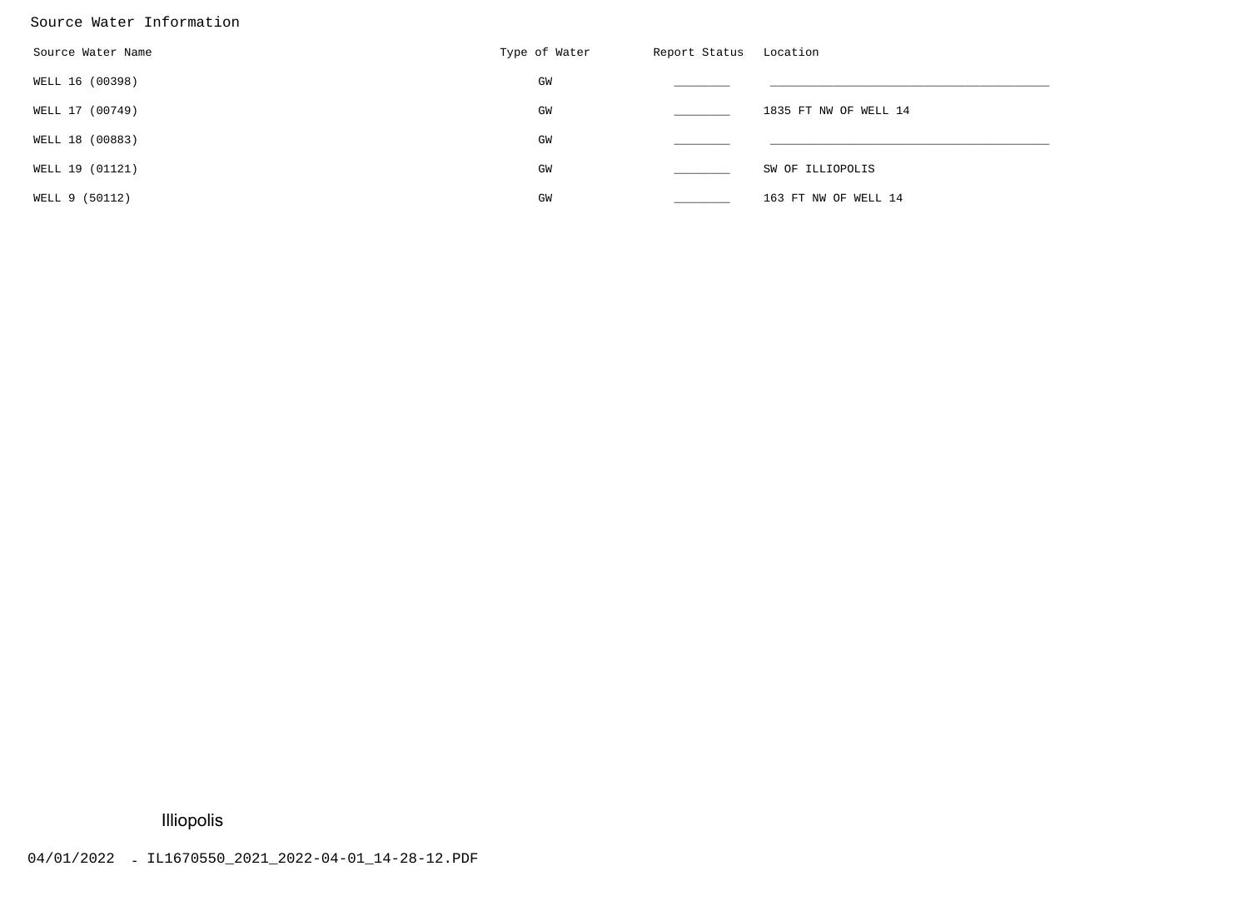#### Source Water Information

| Source Water Name | Type of Water | Report Status | Location              |
|-------------------|---------------|---------------|-----------------------|
| WELL 16 (00398)   | GM            |               |                       |
| WELL 17 (00749)   | GM            |               | 1835 FT NW OF WELL 14 |
| WELL 18 (00883)   | GM            |               |                       |
| WELL 19 (01121)   | GM            |               | SW OF ILLIOPOLIS      |
| WELL 9 (50112)    | GM            |               | 163 FT NW OF WELL 14  |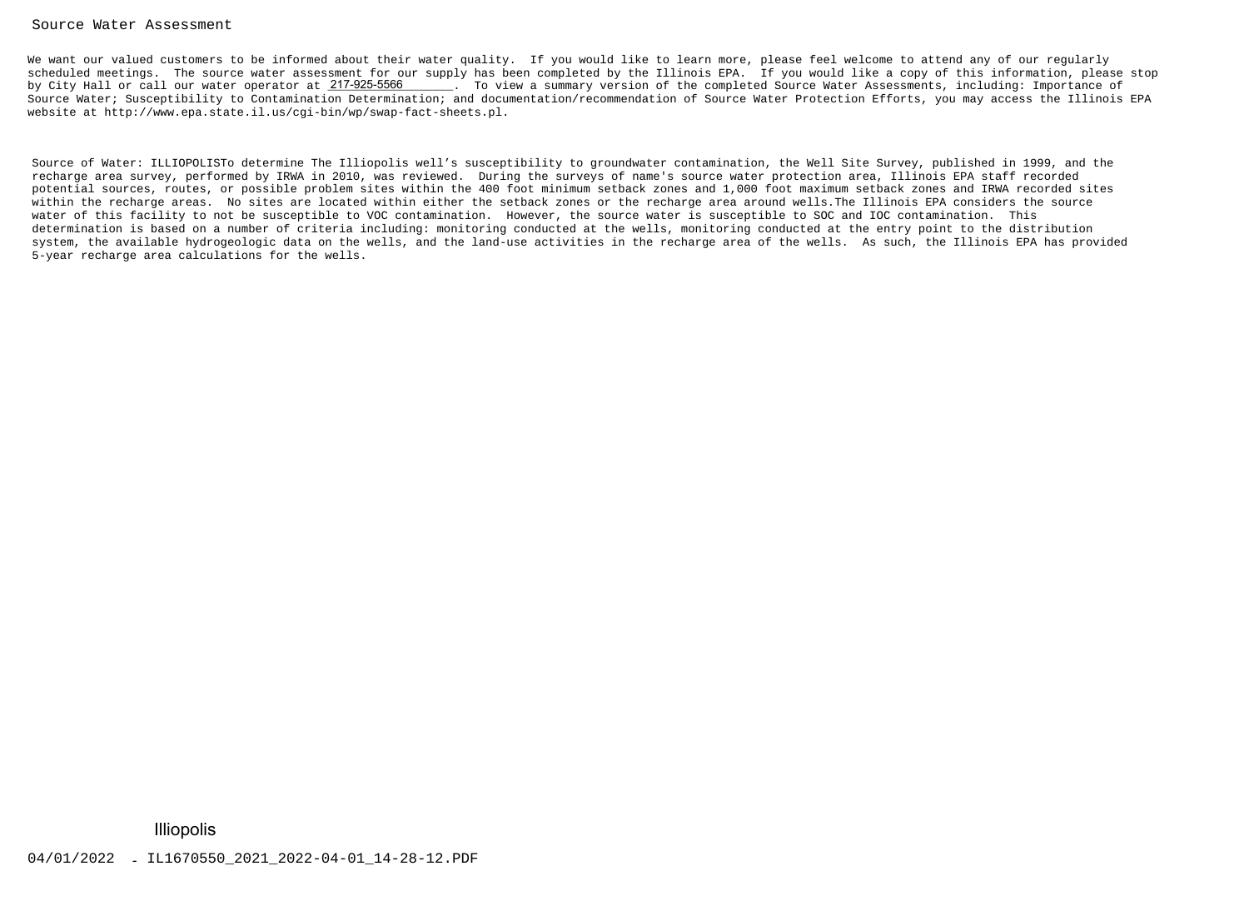#### Source Water Assessment

We want our valued customers to be informed about their water quality. If you would like to learn more, please feel welcome to attend any of our regularly scheduled meetings. The source water assessment for our supply has been completed by the Illinois EPA. If you would like a copy of this information, please stopby City Hall or call our water operator at 217-925-5566 \_\_\_\_\_\_. To view a summary version of the completed Source Water Assessments, including: Importance of Source Water; Susceptibility to Contamination Determination; and documentation/recommendation of Source Water Protection Efforts, you may access the Illinois EPAwebsite at http://www.epa.state.il.us/cgi-bin/wp/swap-fact-sheets.pl.

Source of Water: ILLIOPOLISTo determine The Illiopolis well's susceptibility to groundwater contamination, the Well Site Survey, published in 1999, and therecharge area survey, performed by IRWA in 2010, was reviewed. During the surveys of name's source water protection area, Illinois EPA staff recorded potential sources, routes, or possible problem sites within the 400 foot minimum setback zones and 1,000 foot maximum setback zones and IRWA recorded siteswithin the recharge areas. No sites are located within either the setback zones or the recharge area around wells.The Illinois EPA considers the sourcewater of this facility to not be susceptible to VOC contamination. However, the source water is susceptible to SOC and IOC contamination. This determination is based on a number of criteria including: monitoring conducted at the wells, monitoring conducted at the entry point to the distribution system, the available hydrogeologic data on the wells, and the land-use activities in the recharge area of the wells. As such, the Illinois EPA has provided5-year recharge area calculations for the wells.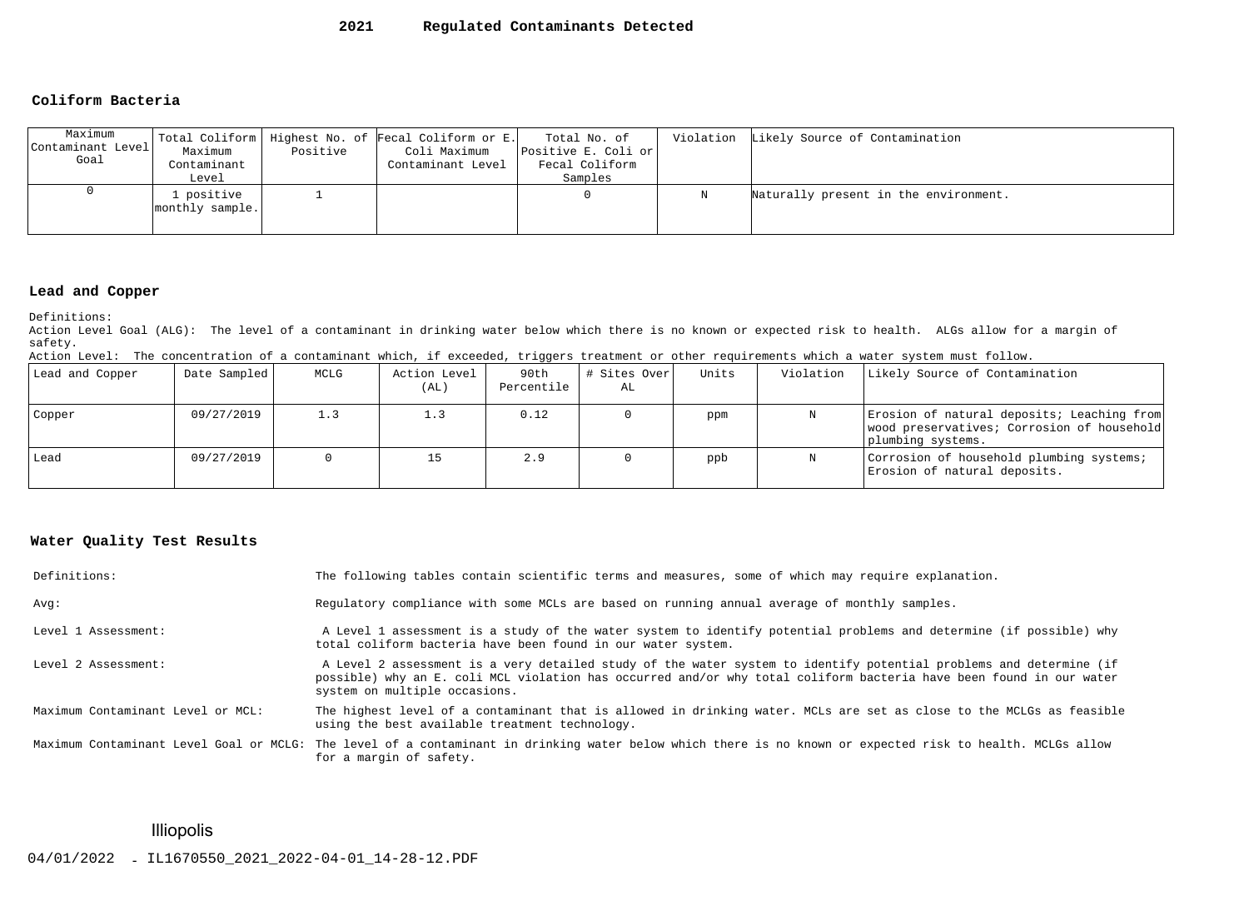#### **2021Regulated Contaminants Detected**

#### **Coliform Bacteria**

| Maximum<br>Contaminant Level<br>Goal | Maximum<br>Contaminant<br>Level | Positive | Total Coliform   Highest No. of Fecal Coliform or E.<br>Coli Maximum<br>Contaminant Level | Total No. of<br>Positive E. Coli or<br>Fecal Coliform<br>Samples |   | Violation Likely Source of Contamination |
|--------------------------------------|---------------------------------|----------|-------------------------------------------------------------------------------------------|------------------------------------------------------------------|---|------------------------------------------|
|                                      | . positive<br>monthly sample.   |          |                                                                                           |                                                                  | Ν | Naturally present in the environment.    |

## **Lead and Copper**

Definitions:

 Action Level Goal (ALG): The level of a contaminant in drinking water below which there is no known or expected risk to health. ALGs allow for a margin ofsafety.

|  | Action Level: The concentration of a contaminant which, if exceeded, triggers treatment or other requirements which a water system must follow. |  |  |  |  |  |  |  |  |  |  |  |
|--|-------------------------------------------------------------------------------------------------------------------------------------------------|--|--|--|--|--|--|--|--|--|--|--|
|--|-------------------------------------------------------------------------------------------------------------------------------------------------|--|--|--|--|--|--|--|--|--|--|--|

| Lead and Copper | Date Sampled | MCLG | Action Level<br>(AL) | 90th<br>Percentile | # Sites Over<br>AL | Units | Violation | Likely Source of Contamination                                                                                |
|-----------------|--------------|------|----------------------|--------------------|--------------------|-------|-----------|---------------------------------------------------------------------------------------------------------------|
| Copper          | 09/27/2019   | 1.3  | 1.3                  | 0.12               |                    | ppm   | N         | Erosion of natural deposits; Leaching from<br>wood preservatives; Corrosion of household<br>plumbing systems. |
| Lead            | 09/27/2019   |      | 15                   | 2.9                |                    | ppb   | N         | Corrosion of household plumbing systems;<br>Erosion of natural deposits.                                      |

#### **Water Quality Test Results**

| Definitions:                      | The following tables contain scientific terms and measures, some of which may require explanation.                                                                                                                                                                         |
|-----------------------------------|----------------------------------------------------------------------------------------------------------------------------------------------------------------------------------------------------------------------------------------------------------------------------|
| Avq:                              | Requiatory compliance with some MCLs are based on running annual average of monthly samples.                                                                                                                                                                               |
| Level 1 Assessment:               | A Level 1 assessment is a study of the water system to identify potential problems and determine (if possible) why<br>total coliform bacteria have been found in our water system.                                                                                         |
| Level 2 Assessment:               | A Level 2 assessment is a very detailed study of the water system to identify potential problems and determine (if<br>possible) why an E. coli MCL violation has occurred and/or why total coliform bacteria have been found in our water<br>system on multiple occasions. |
| Maximum Contaminant Level or MCL: | The highest level of a contaminant that is allowed in drinking water. MCLs are set as close to the MCLGs as feasible<br>using the best available treatment technology.                                                                                                     |
|                                   | Maximum Contaminant Level Goal or MCLG: The level of a contaminant in drinking water below which there is no known or expected risk to health. MCLGs allow<br>for a margin of safety.                                                                                      |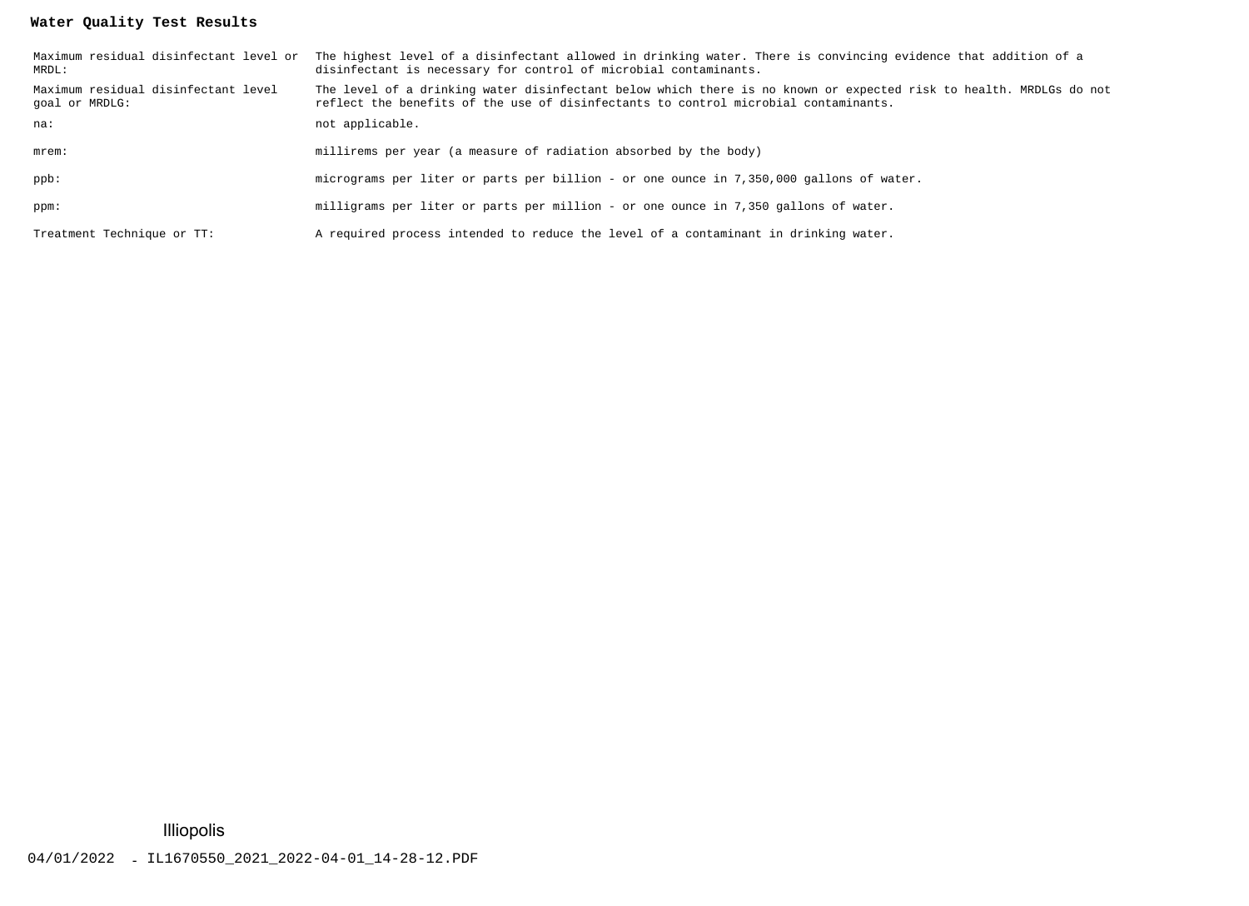### **Water Quality Test Results**

| MRDL:                                                 | Maximum residual disinfectant level or The highest level of a disinfectant allowed in drinking water. There is convincing evidence that addition of a<br>disinfectant is necessary for control of microbial contaminants. |
|-------------------------------------------------------|---------------------------------------------------------------------------------------------------------------------------------------------------------------------------------------------------------------------------|
| Maximum residual disinfectant level<br>qoal or MRDLG: | The level of a drinking water disinfectant below which there is no known or expected risk to health. MRDLGs do not<br>reflect the benefits of the use of disinfectants to control microbial contaminants.                 |
| na:                                                   | not applicable.                                                                                                                                                                                                           |
| $m$ rem $:$                                           | millirems per year (a measure of radiation absorbed by the body)                                                                                                                                                          |
| ppb:                                                  | micrograms per liter or parts per billion - or one ounce in 7,350,000 gallons of water.                                                                                                                                   |
| ppm:                                                  | milligrams per liter or parts per million - or one ounce in 7,350 gallons of water.                                                                                                                                       |
| Treatment Technique or TT:                            | A required process intended to reduce the level of a contaminant in drinking water.                                                                                                                                       |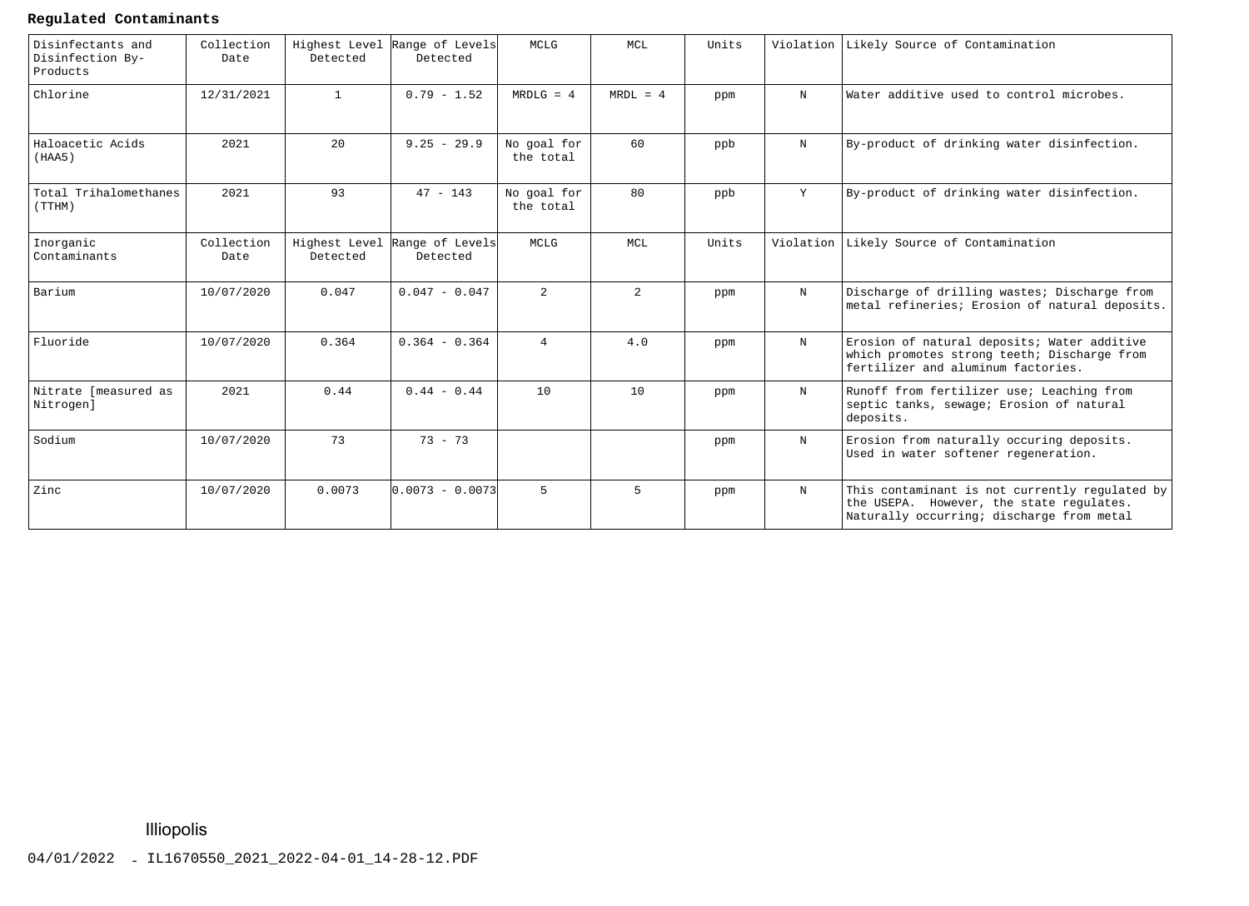#### **Regulated Contaminants**

| Disinfectants and<br>Disinfection By-<br>Products | Collection<br>Date | Detected                  | Highest Level Range of Levels<br>Detected | MCLG                     | MCL            | Units |             | Violation Likely Source of Contamination                                                                                                |
|---------------------------------------------------|--------------------|---------------------------|-------------------------------------------|--------------------------|----------------|-------|-------------|-----------------------------------------------------------------------------------------------------------------------------------------|
| Chlorine                                          | 12/31/2021         | $\mathbf{1}$              | $0.79 - 1.52$                             | $MRDLG = 4$              | $MRDL = 4$     | ppm   | N           | Water additive used to control microbes.                                                                                                |
| Haloacetic Acids<br>(HAA5)                        | 2021               | 20                        | $9.25 - 29.9$                             | No goal for<br>the total | 60             | ppb   | N           | By-product of drinking water disinfection.                                                                                              |
| Total Trihalomethanes<br>(TTHM)                   | 2021               | 93                        | $47 - 143$                                | No goal for<br>the total | 80             | ppb   | Y           | By-product of drinking water disinfection.                                                                                              |
| Inorganic<br>Contaminants                         | Collection<br>Date | Highest Level<br>Detected | Range of Levels<br>Detected               | MCLG                     | <b>MCL</b>     | Units | Violation   | Likely Source of Contamination                                                                                                          |
| Barium                                            | 10/07/2020         | 0.047                     | $0.047 - 0.047$                           | 2                        | $\overline{a}$ | ppm   | $\mathbf N$ | Discharge of drilling wastes; Discharge from<br>metal refineries; Erosion of natural deposits.                                          |
| Fluoride                                          | 10/07/2020         | 0.364                     | $0.364 - 0.364$                           | $\overline{4}$           | 4.0            | ppm   | $\mathbf N$ | Erosion of natural deposits; Water additive<br>which promotes strong teeth; Discharge from<br>fertilizer and aluminum factories.        |
| Nitrate [measured as<br>Nitrogen]                 | 2021               | 0.44                      | $0.44 - 0.44$                             | 10                       | 10             | ppm   | $_{\rm N}$  | Runoff from fertilizer use; Leaching from<br>septic tanks, sewage; Erosion of natural<br>deposits.                                      |
| Sodium                                            | 10/07/2020         | 73                        | $73 - 73$                                 |                          |                | ppm   | $\mathbf N$ | Erosion from naturally occuring deposits.<br>Used in water softener regeneration.                                                       |
| Zinc                                              | 10/07/2020         | 0.0073                    | $0.0073 - 0.0073$                         | $5^{\circ}$              | $5^{\circ}$    | ppm   | $\mathbf N$ | This contaminant is not currently regulated by<br>the USEPA. However, the state regulates.<br>Naturally occurring; discharge from metal |